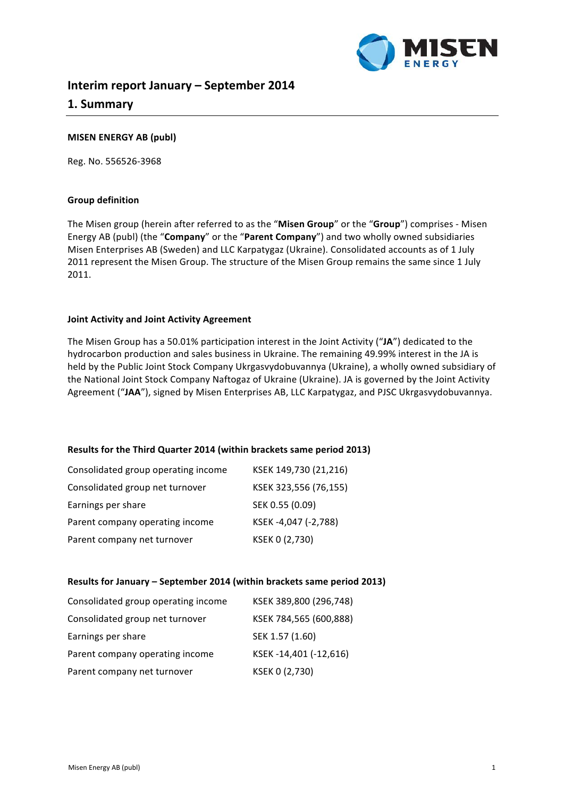

# **Interim report January – September 2014 1. Summary**

# **MISEN ENERGY AB (publ)**

Reg. No. 556526-3968

#### **Group definition**

The Misen group (herein after referred to as the "Misen Group" or the "Group") comprises - Misen Energy AB (publ) (the "**Company**" or the "Parent Company") and two wholly owned subsidiaries Misen Enterprises AB (Sweden) and LLC Karpatygaz (Ukraine). Consolidated accounts as of 1 July 2011 represent the Misen Group. The structure of the Misen Group remains the same since 1 July 2011.

### **Joint Activity and Joint Activity Agreement**

The Misen Group has a 50.01% participation interest in the Joint Activity ("JA") dedicated to the hydrocarbon production and sales business in Ukraine. The remaining 49.99% interest in the JA is held by the Public Joint Stock Company Ukrgasvydobuvannya (Ukraine), a wholly owned subsidiary of the National Joint Stock Company Naftogaz of Ukraine (Ukraine). JA is governed by the Joint Activity Agreement ("JAA"), signed by Misen Enterprises AB, LLC Karpatygaz, and PJSC Ukrgasvydobuvannya.

#### **Results for the Third Quarter 2014 (within brackets same period 2013)**

| Consolidated group operating income | KSEK 149,730 (21,216) |
|-------------------------------------|-----------------------|
| Consolidated group net turnover     | KSEK 323,556 (76,155) |
| Earnings per share                  | SEK 0.55 (0.09)       |
| Parent company operating income     | KSEK-4,047 (-2,788)   |
| Parent company net turnover         | KSEK 0 (2,730)        |

#### **Results for January – September 2014 (within brackets same period 2013)**

| Consolidated group operating income | KSEK 389,800 (296,748) |
|-------------------------------------|------------------------|
| Consolidated group net turnover     | KSEK 784,565 (600,888) |
| Earnings per share                  | SEK 1.57 (1.60)        |
| Parent company operating income     | KSEK-14,401 (-12,616)  |
| Parent company net turnover         | KSEK 0 (2,730)         |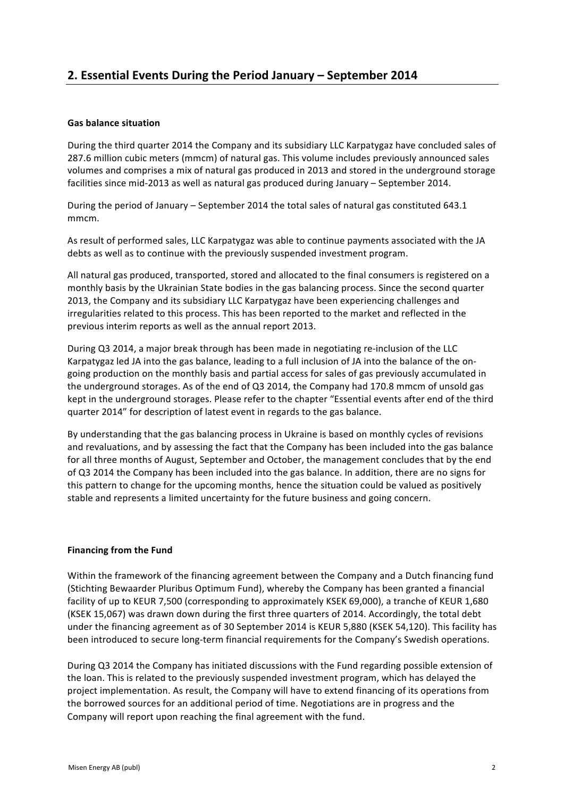# **Gas balance situation**

During the third quarter 2014 the Company and its subsidiary LLC Karpatygaz have concluded sales of 287.6 million cubic meters (mmcm) of natural gas. This volume includes previously announced sales volumes and comprises a mix of natural gas produced in 2013 and stored in the underground storage facilities since mid-2013 as well as natural gas produced during January - September 2014.

During the period of January – September 2014 the total sales of natural gas constituted 643.1 mmcm.

As result of performed sales, LLC Karpatygaz was able to continue payments associated with the JA debts as well as to continue with the previously suspended investment program.

All natural gas produced, transported, stored and allocated to the final consumers is registered on a monthly basis by the Ukrainian State bodies in the gas balancing process. Since the second quarter 2013, the Company and its subsidiary LLC Karpatygaz have been experiencing challenges and irregularities related to this process. This has been reported to the market and reflected in the previous interim reports as well as the annual report 2013.

During Q3 2014, a major break through has been made in negotiating re-inclusion of the LLC Karpatygaz led JA into the gas balance, leading to a full inclusion of JA into the balance of the ongoing production on the monthly basis and partial access for sales of gas previously accumulated in the underground storages. As of the end of Q3 2014, the Company had 170.8 mmcm of unsold gas kept in the underground storages. Please refer to the chapter "Essential events after end of the third quarter 2014" for description of latest event in regards to the gas balance.

By understanding that the gas balancing process in Ukraine is based on monthly cycles of revisions and revaluations, and by assessing the fact that the Company has been included into the gas balance for all three months of August, September and October, the management concludes that by the end of Q3 2014 the Company has been included into the gas balance. In addition, there are no signs for this pattern to change for the upcoming months, hence the situation could be valued as positively stable and represents a limited uncertainty for the future business and going concern.

# **Financing from the Fund**

Within the framework of the financing agreement between the Company and a Dutch financing fund (Stichting Bewaarder Pluribus Optimum Fund), whereby the Company has been granted a financial facility of up to KEUR 7,500 (corresponding to approximately KSEK 69,000), a tranche of KEUR 1,680 (KSEK 15,067) was drawn down during the first three quarters of 2014. Accordingly, the total debt under the financing agreement as of 30 September 2014 is KEUR 5,880 (KSEK 54,120). This facility has been introduced to secure long-term financial requirements for the Company's Swedish operations.

During Q3 2014 the Company has initiated discussions with the Fund regarding possible extension of the loan. This is related to the previously suspended investment program, which has delayed the project implementation. As result, the Company will have to extend financing of its operations from the borrowed sources for an additional period of time. Negotiations are in progress and the Company will report upon reaching the final agreement with the fund.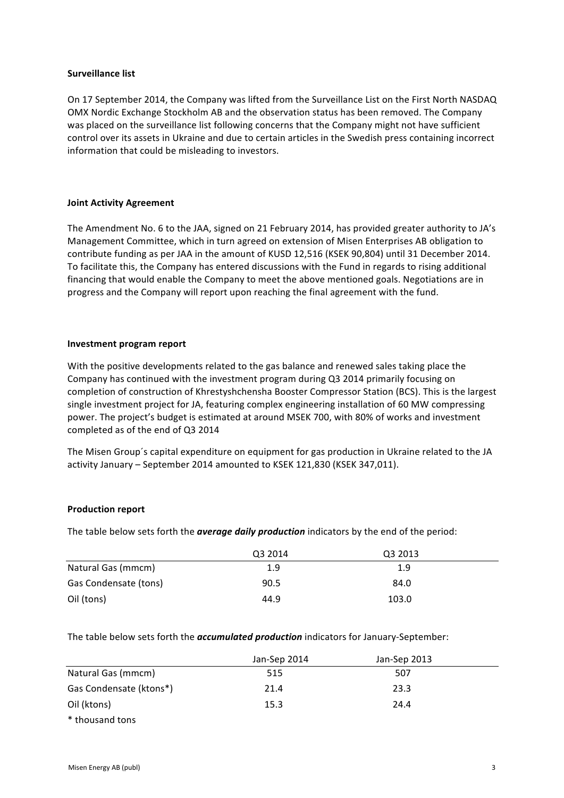### **Surveillance list**

On 17 September 2014, the Company was lifted from the Surveillance List on the First North NASDAQ OMX Nordic Exchange Stockholm AB and the observation status has been removed. The Company was placed on the surveillance list following concerns that the Company might not have sufficient control over its assets in Ukraine and due to certain articles in the Swedish press containing incorrect information that could be misleading to investors.

# **Joint Activity Agreement**

The Amendment No. 6 to the JAA, signed on 21 February 2014, has provided greater authority to JA's Management Committee, which in turn agreed on extension of Misen Enterprises AB obligation to contribute funding as per JAA in the amount of KUSD 12,516 (KSEK 90,804) until 31 December 2014. To facilitate this, the Company has entered discussions with the Fund in regards to rising additional financing that would enable the Company to meet the above mentioned goals. Negotiations are in progress and the Company will report upon reaching the final agreement with the fund.

# **Investment program report**

With the positive developments related to the gas balance and renewed sales taking place the Company has continued with the investment program during Q3 2014 primarily focusing on completion of construction of Khrestyshchensha Booster Compressor Station (BCS). This is the largest single investment project for JA, featuring complex engineering installation of 60 MW compressing power. The project's budget is estimated at around MSEK 700, with 80% of works and investment completed as of the end of Q3 2014

The Misen Group's capital expenditure on equipment for gas production in Ukraine related to the JA activity January - September 2014 amounted to KSEK 121,830 (KSEK 347,011).

# **Production report**

The table below sets forth the **average daily production** indicators by the end of the period:

|                       | Q3 2014 | Q3 2013 |  |
|-----------------------|---------|---------|--|
| Natural Gas (mmcm)    | 1.9     | 1.9     |  |
| Gas Condensate (tons) | 90.5    | 84.0    |  |
| Oil (tons)            | 44.9    | 103.0   |  |

The table below sets forth the *accumulated production* indicators for January-September:

|                         | Jan-Sep 2014 | Jan-Sep 2013 |  |
|-------------------------|--------------|--------------|--|
| Natural Gas (mmcm)      | 515          | 507          |  |
| Gas Condensate (ktons*) | 21.4         | 23.3         |  |
| Oil (ktons)             | 15.3         | 24.4         |  |
| * thousand tons         |              |              |  |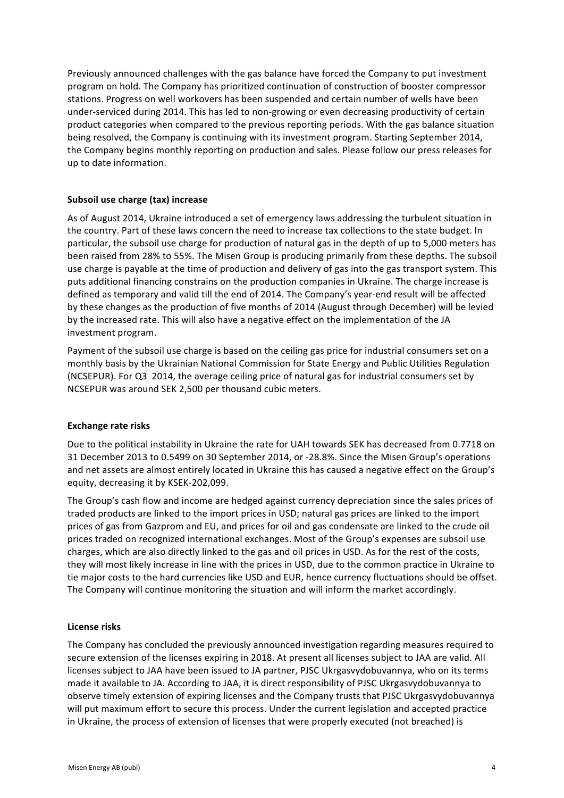Previously announced challenges with the gas balance have forced the Company to put investment program on hold. The Company has prioritized continuation of construction of booster compressor stations. Progress on well workovers has been suspended and certain number of wells have been under-serviced during 2014. This has led to non-growing or even decreasing productivity of certain product categories when compared to the previous reporting periods. With the gas balance situation being resolved, the Company is continuing with its investment program. Starting September 2014, the Company begins monthly reporting on production and sales. Please follow our press releases for up to date information.

# **Subsoil use charge (tax) increase**

As of August 2014, Ukraine introduced a set of emergency laws addressing the turbulent situation in the country. Part of these laws concern the need to increase tax collections to the state budget. In particular, the subsoil use charge for production of natural gas in the depth of up to 5,000 meters has been raised from 28% to 55%. The Misen Group is producing primarily from these depths. The subsoil use charge is payable at the time of production and delivery of gas into the gas transport system. This puts additional financing constrains on the production companies in Ukraine. The charge increase is defined as temporary and valid till the end of 2014. The Company's year-end result will be affected by these changes as the production of five months of 2014 (August through December) will be levied by the increased rate. This will also have a negative effect on the implementation of the JA investment program.

Payment of the subsoil use charge is based on the ceiling gas price for industrial consumers set on a monthly basis by the Ukrainian National Commission for State Energy and Public Utilities Regulation (NCSEPUR). For Q3 2014, the average ceiling price of natural gas for industrial consumers set by NCSEPUR was around SEK 2,500 per thousand cubic meters.

#### **Exchange rate risks**

Due to the political instability in Ukraine the rate for UAH towards SEK has decreased from 0.7718 on 31 December 2013 to 0.5499 on 30 September 2014, or -28.8%. Since the Misen Group's operations and net assets are almost entirely located in Ukraine this has caused a negative effect on the Group's equity, decreasing it by KSEK-202,099.

The Group's cash flow and income are hedged against currency depreciation since the sales prices of traded products are linked to the import prices in USD; natural gas prices are linked to the import prices of gas from Gazprom and EU, and prices for oil and gas condensate are linked to the crude oil prices traded on recognized international exchanges. Most of the Group's expenses are subsoil use charges, which are also directly linked to the gas and oil prices in USD. As for the rest of the costs, they will most likely increase in line with the prices in USD, due to the common practice in Ukraine to tie major costs to the hard currencies like USD and EUR, hence currency fluctuations should be offset. The Company will continue monitoring the situation and will inform the market accordingly.

#### **License risks**

The Company has concluded the previously announced investigation regarding measures required to secure extension of the licenses expiring in 2018. At present all licenses subject to JAA are valid. All licenses subject to JAA have been issued to JA partner, PJSC Ukrgasvydobuvannya, who on its terms made it available to JA. According to JAA, it is direct responsibility of PJSC Ukrgasvydobuvannya to observe timely extension of expiring licenses and the Company trusts that PJSC Ukrgasvydobuvannya will put maximum effort to secure this process. Under the current legislation and accepted practice in Ukraine, the process of extension of licenses that were properly executed (not breached) is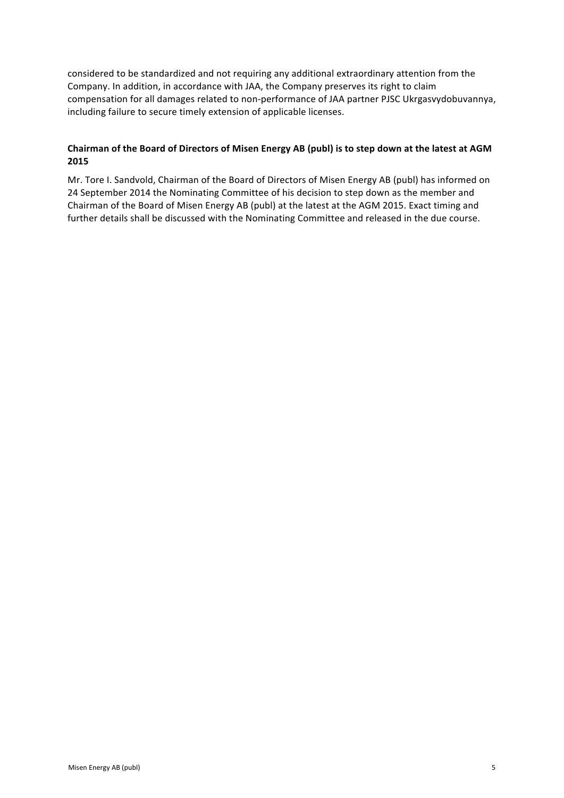considered to be standardized and not requiring any additional extraordinary attention from the Company. In addition, in accordance with JAA, the Company preserves its right to claim compensation for all damages related to non-performance of JAA partner PJSC Ukrgasvydobuvannya, including failure to secure timely extension of applicable licenses.

# Chairman of the Board of Directors of Misen Energy AB (publ) is to step down at the latest at AGM **2015**

Mr. Tore I. Sandvold, Chairman of the Board of Directors of Misen Energy AB (publ) has informed on 24 September 2014 the Nominating Committee of his decision to step down as the member and Chairman of the Board of Misen Energy AB (publ) at the latest at the AGM 2015. Exact timing and further details shall be discussed with the Nominating Committee and released in the due course.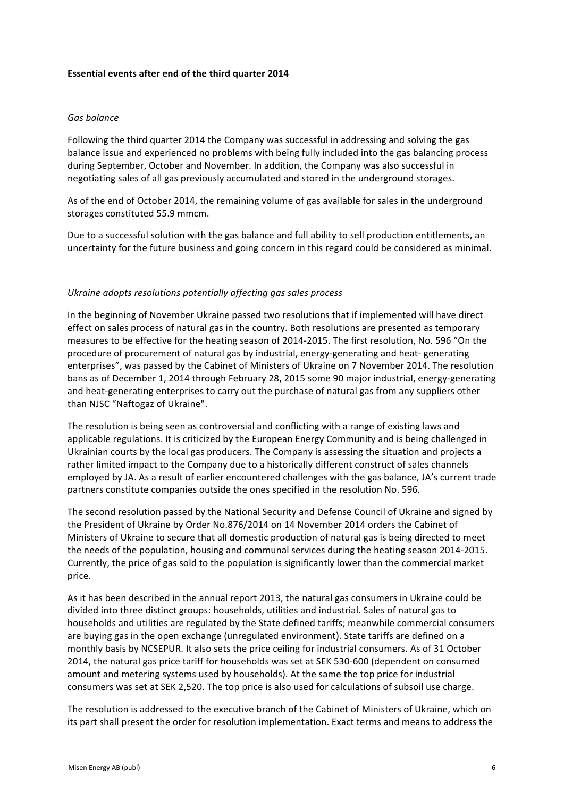### **Essential events after end of the third quarter 2014**

## *Gas balance*

Following the third quarter 2014 the Company was successful in addressing and solving the gas balance issue and experienced no problems with being fully included into the gas balancing process during September, October and November. In addition, the Company was also successful in negotiating sales of all gas previously accumulated and stored in the underground storages.

As of the end of October 2014, the remaining volume of gas available for sales in the underground storages constituted 55.9 mmcm.

Due to a successful solution with the gas balance and full ability to sell production entitlements, an uncertainty for the future business and going concern in this regard could be considered as minimal.

#### Ukraine adopts resolutions potentially affecting gas sales process

In the beginning of November Ukraine passed two resolutions that if implemented will have direct effect on sales process of natural gas in the country. Both resolutions are presented as temporary measures to be effective for the heating season of 2014-2015. The first resolution, No. 596 "On the procedure of procurement of natural gas by industrial, energy-generating and heat- generating enterprises", was passed by the Cabinet of Ministers of Ukraine on 7 November 2014. The resolution bans as of December 1, 2014 through February 28, 2015 some 90 major industrial, energy-generating and heat-generating enterprises to carry out the purchase of natural gas from any suppliers other than NJSC "Naftogaz of Ukraine".

The resolution is being seen as controversial and conflicting with a range of existing laws and applicable regulations. It is criticized by the European Energy Community and is being challenged in Ukrainian courts by the local gas producers. The Company is assessing the situation and projects a rather limited impact to the Company due to a historically different construct of sales channels employed by JA. As a result of earlier encountered challenges with the gas balance, JA's current trade partners constitute companies outside the ones specified in the resolution No. 596.

The second resolution passed by the National Security and Defense Council of Ukraine and signed by the President of Ukraine by Order No.876/2014 on 14 November 2014 orders the Cabinet of Ministers of Ukraine to secure that all domestic production of natural gas is being directed to meet the needs of the population, housing and communal services during the heating season 2014-2015. Currently, the price of gas sold to the population is significantly lower than the commercial market price. 

As it has been described in the annual report 2013, the natural gas consumers in Ukraine could be divided into three distinct groups: households, utilities and industrial. Sales of natural gas to households and utilities are regulated by the State defined tariffs; meanwhile commercial consumers are buying gas in the open exchange (unregulated environment). State tariffs are defined on a monthly basis by NCSEPUR. It also sets the price ceiling for industrial consumers. As of 31 October 2014, the natural gas price tariff for households was set at SEK 530-600 (dependent on consumed amount and metering systems used by households). At the same the top price for industrial consumers was set at SEK 2,520. The top price is also used for calculations of subsoil use charge.

The resolution is addressed to the executive branch of the Cabinet of Ministers of Ukraine, which on its part shall present the order for resolution implementation. Exact terms and means to address the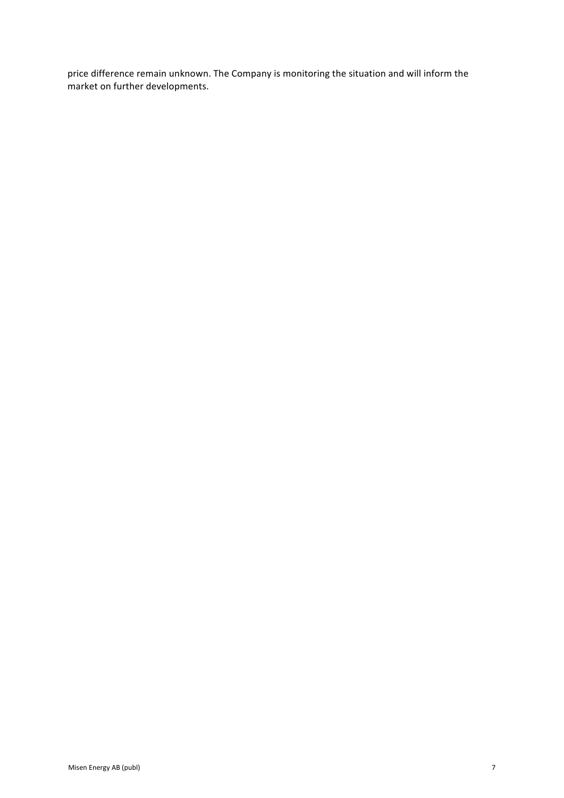price difference remain unknown. The Company is monitoring the situation and will inform the market on further developments.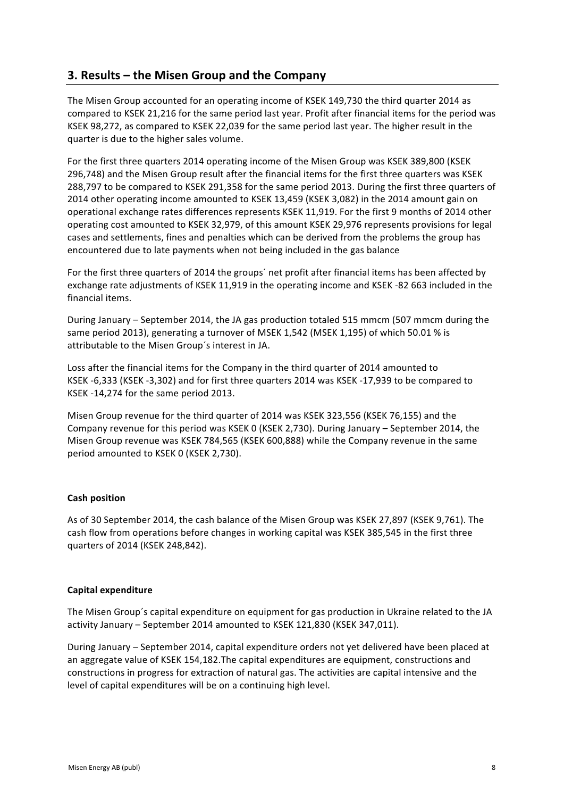# **3. Results – the Misen Group and the Company**

The Misen Group accounted for an operating income of KSEK 149.730 the third quarter 2014 as compared to KSEK 21,216 for the same period last year. Profit after financial items for the period was KSEK 98,272, as compared to KSEK 22,039 for the same period last year. The higher result in the quarter is due to the higher sales volume.

For the first three quarters 2014 operating income of the Misen Group was KSEK 389,800 (KSEK 296,748) and the Misen Group result after the financial items for the first three quarters was KSEK 288,797 to be compared to KSEK 291,358 for the same period 2013. During the first three quarters of 2014 other operating income amounted to KSEK 13,459 (KSEK 3,082) in the 2014 amount gain on operational exchange rates differences represents KSEK 11,919. For the first 9 months of 2014 other operating cost amounted to KSEK 32,979, of this amount KSEK 29,976 represents provisions for legal cases and settlements, fines and penalties which can be derived from the problems the group has encountered due to late payments when not being included in the gas balance

For the first three quarters of 2014 the groups' net profit after financial items has been affected by exchange rate adjustments of KSEK 11,919 in the operating income and KSEK -82 663 included in the financial items.

During January – September 2014, the JA gas production totaled 515 mmcm (507 mmcm during the same period 2013), generating a turnover of MSEK 1,542 (MSEK 1,195) of which 50.01 % is attributable to the Misen Group's interest in JA.

Loss after the financial items for the Company in the third quarter of 2014 amounted to KSEK -6,333 (KSEK -3,302) and for first three quarters 2014 was KSEK -17,939 to be compared to KSEK -14,274 for the same period 2013.

Misen Group revenue for the third quarter of 2014 was KSEK 323,556 (KSEK 76,155) and the Company revenue for this period was KSEK 0 (KSEK 2,730). During January – September 2014, the Misen Group revenue was KSEK 784,565 (KSEK 600,888) while the Company revenue in the same period amounted to KSEK 0 (KSEK 2,730).

# **Cash position**

As of 30 September 2014, the cash balance of the Misen Group was KSEK 27,897 (KSEK 9,761). The cash flow from operations before changes in working capital was KSEK 385,545 in the first three quarters of 2014 (KSEK 248,842). 

# **Capital expenditure**

The Misen Group's capital expenditure on equipment for gas production in Ukraine related to the JA activity January - September 2014 amounted to KSEK 121,830 (KSEK 347,011).

During January - September 2014, capital expenditure orders not yet delivered have been placed at an aggregate value of KSEK 154,182.The capital expenditures are equipment, constructions and constructions in progress for extraction of natural gas. The activities are capital intensive and the level of capital expenditures will be on a continuing high level.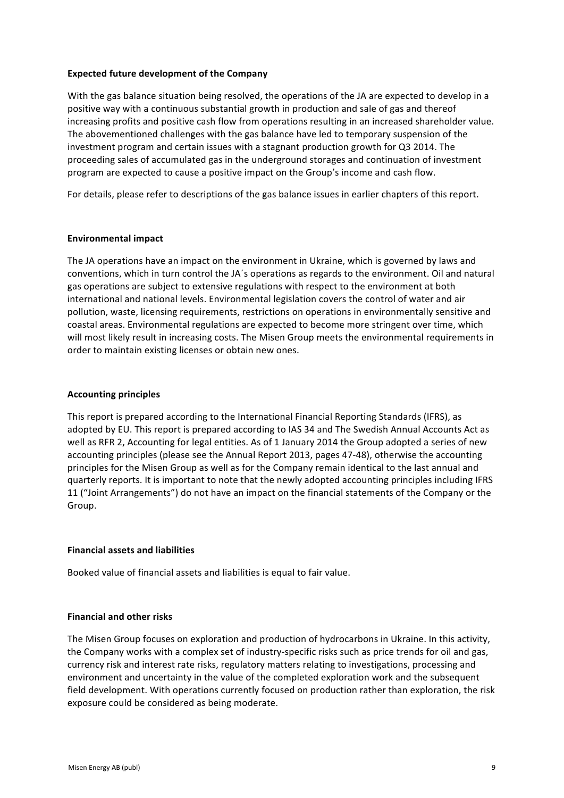### **Expected future development of the Company**

With the gas balance situation being resolved, the operations of the JA are expected to develop in a positive way with a continuous substantial growth in production and sale of gas and thereof increasing profits and positive cash flow from operations resulting in an increased shareholder value. The abovementioned challenges with the gas balance have led to temporary suspension of the investment program and certain issues with a stagnant production growth for Q3 2014. The proceeding sales of accumulated gas in the underground storages and continuation of investment program are expected to cause a positive impact on the Group's income and cash flow.

For details, please refer to descriptions of the gas balance issues in earlier chapters of this report.

### **Environmental impact**

The JA operations have an impact on the environment in Ukraine, which is governed by laws and conventions, which in turn control the JA's operations as regards to the environment. Oil and natural gas operations are subject to extensive regulations with respect to the environment at both international and national levels. Environmental legislation covers the control of water and air pollution, waste, licensing requirements, restrictions on operations in environmentally sensitive and coastal areas. Environmental regulations are expected to become more stringent over time, which will most likely result in increasing costs. The Misen Group meets the environmental requirements in order to maintain existing licenses or obtain new ones.

## **Accounting principles**

This report is prepared according to the International Financial Reporting Standards (IFRS), as adopted by EU. This report is prepared according to IAS 34 and The Swedish Annual Accounts Act as well as RFR 2, Accounting for legal entities. As of 1 January 2014 the Group adopted a series of new accounting principles (please see the Annual Report 2013, pages 47-48), otherwise the accounting principles for the Misen Group as well as for the Company remain identical to the last annual and quarterly reports. It is important to note that the newly adopted accounting principles including IFRS 11 ("Joint Arrangements") do not have an impact on the financial statements of the Company or the Group.

# **Financial assets and liabilities**

Booked value of financial assets and liabilities is equal to fair value.

#### **Financial and other risks**

The Misen Group focuses on exploration and production of hydrocarbons in Ukraine. In this activity, the Company works with a complex set of industry-specific risks such as price trends for oil and gas, currency risk and interest rate risks, regulatory matters relating to investigations, processing and environment and uncertainty in the value of the completed exploration work and the subsequent field development. With operations currently focused on production rather than exploration, the risk exposure could be considered as being moderate.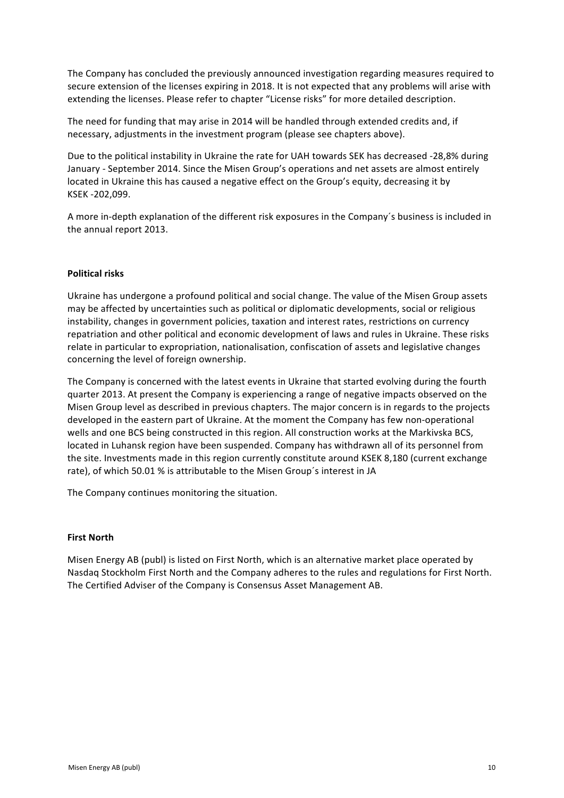The Company has concluded the previously announced investigation regarding measures required to secure extension of the licenses expiring in 2018. It is not expected that any problems will arise with extending the licenses. Please refer to chapter "License risks" for more detailed description.

The need for funding that may arise in 2014 will be handled through extended credits and, if necessary, adjustments in the investment program (please see chapters above).

Due to the political instability in Ukraine the rate for UAH towards SEK has decreased -28,8% during January - September 2014. Since the Misen Group's operations and net assets are almost entirely located in Ukraine this has caused a negative effect on the Group's equity, decreasing it by KSEK -202,099.

A more in-depth explanation of the different risk exposures in the Company's business is included in the annual report 2013.

# **Political risks**

Ukraine has undergone a profound political and social change. The value of the Misen Group assets may be affected by uncertainties such as political or diplomatic developments, social or religious instability, changes in government policies, taxation and interest rates, restrictions on currency repatriation and other political and economic development of laws and rules in Ukraine. These risks relate in particular to expropriation, nationalisation, confiscation of assets and legislative changes concerning the level of foreign ownership.

The Company is concerned with the latest events in Ukraine that started evolving during the fourth quarter 2013. At present the Company is experiencing a range of negative impacts observed on the Misen Group level as described in previous chapters. The major concern is in regards to the projects developed in the eastern part of Ukraine. At the moment the Company has few non-operational wells and one BCS being constructed in this region. All construction works at the Markivska BCS, located in Luhansk region have been suspended. Company has withdrawn all of its personnel from the site. Investments made in this region currently constitute around KSEK 8,180 (current exchange rate), of which 50.01 % is attributable to the Misen Group's interest in JA

The Company continues monitoring the situation.

# **First North**

Misen Energy AB (publ) is listed on First North, which is an alternative market place operated by Nasdaq Stockholm First North and the Company adheres to the rules and regulations for First North. The Certified Adviser of the Company is Consensus Asset Management AB.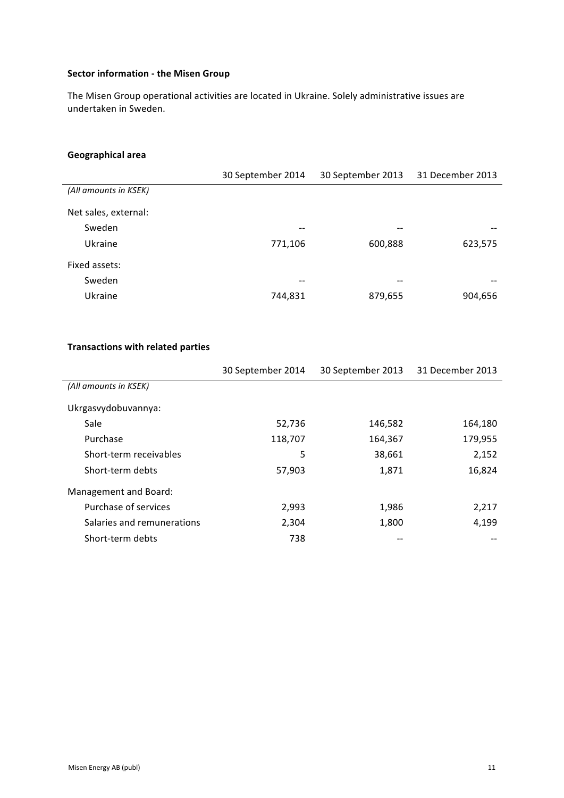# **Sector information - the Misen Group**

The Misen Group operational activities are located in Ukraine. Solely administrative issues are undertaken in Sweden.

# **Geographical area**

|                       | 30 September 2014 | 30 September 2013 | 31 December 2013 |
|-----------------------|-------------------|-------------------|------------------|
| (All amounts in KSEK) |                   |                   |                  |
| Net sales, external:  |                   |                   |                  |
| Sweden                | --                |                   |                  |
| Ukraine               | 771,106           | 600,888           | 623,575          |
| Fixed assets:         |                   |                   |                  |
| Sweden                | --                | --                |                  |
| Ukraine               | 744,831           | 879,655           | 904,656          |

## **Transactions with related parties**

|                            | 30 September 2014 | 30 September 2013 | 31 December 2013 |
|----------------------------|-------------------|-------------------|------------------|
| (All amounts in KSEK)      |                   |                   |                  |
| Ukrgasvydobuvannya:        |                   |                   |                  |
| Sale                       | 52,736            | 146,582           | 164,180          |
| Purchase                   | 118,707           | 164,367           | 179,955          |
| Short-term receivables     | 5                 | 38,661            | 2,152            |
| Short-term debts           | 57,903            | 1,871             | 16,824           |
| Management and Board:      |                   |                   |                  |
| Purchase of services       | 2,993             | 1,986             | 2,217            |
| Salaries and remunerations | 2,304             | 1,800             | 4,199            |
| Short-term debts           | 738               |                   |                  |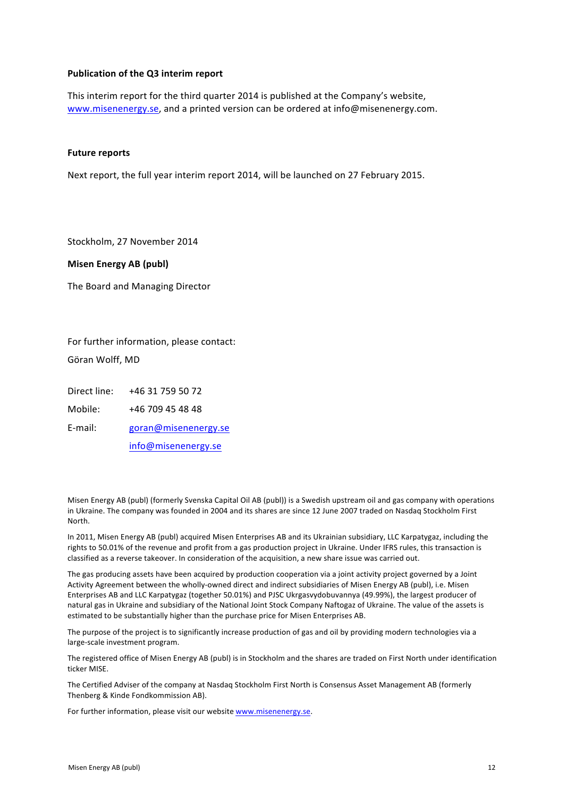### **Publication of the Q3 interim report**

This interim report for the third quarter 2014 is published at the Company's website, www.misenenergy.se, and a printed version can be ordered at info@misenenergy.com.

#### **Future reports**

Next report, the full vear interim report 2014, will be launched on 27 February 2015.

Stockholm, 27 November 2014

**Misen Energy AB (publ)**

The Board and Managing Director

For further information, please contact: Göran Wolff, MD

Direct line: +46 31 759 50 72

Mobile: +46 709 45 48 48

E-mail: goran@misenenergy.se

info@misenenergy.se

Misen Energy AB (publ) (formerly Svenska Capital Oil AB (publ)) is a Swedish upstream oil and gas company with operations in Ukraine. The company was founded in 2004 and its shares are since 12 June 2007 traded on Nasdaq Stockholm First North.

In 2011, Misen Energy AB (publ) acquired Misen Enterprises AB and its Ukrainian subsidiary, LLC Karpatygaz, including the rights to 50.01% of the revenue and profit from a gas production project in Ukraine. Under IFRS rules, this transaction is classified as a reverse takeover. In consideration of the acquisition, a new share issue was carried out.

The gas producing assets have been acquired by production cooperation via a joint activity project governed by a Joint Activity Agreement between the wholly-owned direct and indirect subsidiaries of Misen Energy AB (publ), i.e. Misen Enterprises AB and LLC Karpatygaz (together 50.01%) and PJSC Ukrgasvydobuvannya (49.99%), the largest producer of natural gas in Ukraine and subsidiary of the National Joint Stock Company Naftogaz of Ukraine. The value of the assets is estimated to be substantially higher than the purchase price for Misen Enterprises AB.

The purpose of the project is to significantly increase production of gas and oil by providing modern technologies via a large-scale investment program.

The registered office of Misen Energy AB (publ) is in Stockholm and the shares are traded on First North under identification ticker MISE.

The Certified Adviser of the company at Nasdaq Stockholm First North is Consensus Asset Management AB (formerly Thenberg & Kinde Fondkommission AB).

For further information, please visit our website www.misenenergy.se.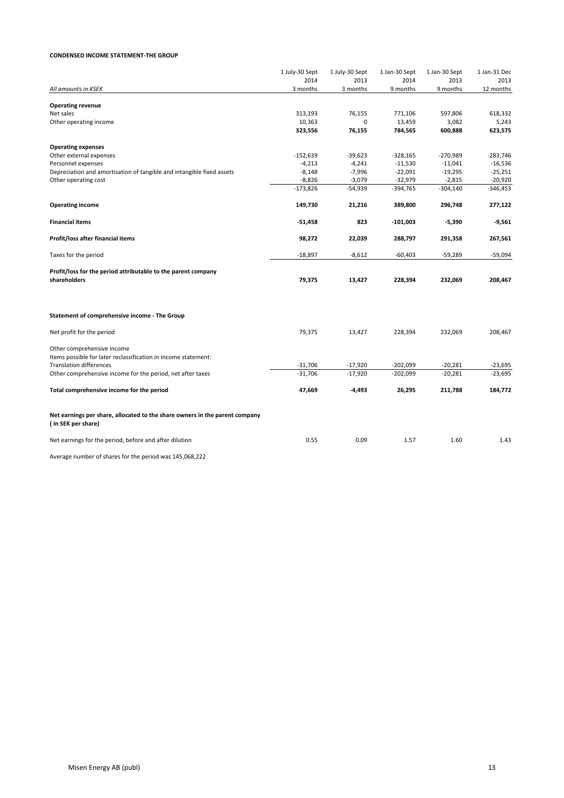#### **CONDENSED INCOME STATEMENT-THE GROUP**

|                                                                                                                                | 1 July-30 Sept | 1 July-30 Sept | 1 Jan-30 Sept | 1 Jan-30 Sept | 1 Jan-31 Dec |
|--------------------------------------------------------------------------------------------------------------------------------|----------------|----------------|---------------|---------------|--------------|
|                                                                                                                                | 2014           | 2013           | 2014          | 2013          | 2013         |
| All amounts in KSEK                                                                                                            | 3 months       | 3 months       | 9 months      | 9 months      | 12 months    |
| <b>Operating revenue</b>                                                                                                       |                |                |               |               |              |
| Net sales                                                                                                                      | 313,193        | 76,155         | 771,106       | 597,806       | 618,332      |
| Other operating income                                                                                                         | 10,363         | 0              | 13,459        | 3,082         | 5,243        |
|                                                                                                                                | 323,556        | 76,155         | 784,565       | 600,888       | 623,575      |
| <b>Operating expenses</b>                                                                                                      |                |                |               |               |              |
| Other external expenses                                                                                                        | $-152,639$     | $-39,623$      | $-328,165$    | $-270,989$    | $-283,746$   |
| Personnel expenses                                                                                                             | $-4,213$       | $-4,241$       | $-11,530$     | $-11,041$     | $-16,536$    |
| Depreciation and amortisation of tangible and intangible fixed assets                                                          | $-8,148$       | $-7,996$       | $-22,091$     | $-19,295$     | $-25,251$    |
| Other operating cost                                                                                                           | $-8,826$       | $-3,079$       | $-32,979$     | $-2,815$      | $-20,920$    |
|                                                                                                                                | $-173,826$     | $-54,939$      | $-394,765$    | $-304,140$    | -346,453     |
| <b>Operating income</b>                                                                                                        | 149,730        | 21,216         | 389,800       | 296,748       | 277,122      |
| <b>Financial items</b>                                                                                                         | $-51,458$      | 823            | $-101,003$    | $-5,390$      | $-9,561$     |
| Profit/loss after financial items                                                                                              | 98,272         | 22,039         | 288,797       | 291,358       | 267,561      |
| Taxes for the period                                                                                                           | $-18,897$      | $-8,612$       | $-60,403$     | $-59,289$     | $-59,094$    |
| Profit/loss for the period attributable to the parent company<br>shareholders                                                  | 79,375         | 13,427         | 228,394       | 232,069       | 208,467      |
| Statement of comprehensive income - The Group                                                                                  |                |                |               |               |              |
| Net profit for the period                                                                                                      | 79,375         | 13,427         | 228,394       | 232,069       | 208,467      |
| Other comprehensive income<br>Items possible for later reclassification in income statement:<br><b>Translation differences</b> | $-31,706$      | $-17,920$      | $-202,099$    | $-20,281$     | $-23,695$    |
| Other comprehensive income for the period, net after taxes                                                                     | $-31,706$      | $-17,920$      | $-202,099$    | $-20,281$     | $-23,695$    |
| Total comprehensive income for the period                                                                                      | 47,669         | $-4,493$       | 26,295        | 211,788       | 184,772      |
| Net earnings per share, allocated to the share owners in the parent company<br>(in SEK per share)                              |                |                |               |               |              |
| Net earnings for the period, before and after dilution                                                                         | 0.55           | 0.09           | 1.57          | 1.60          | 1.43         |
| Average number of shares for the period was 145,068,222                                                                        |                |                |               |               |              |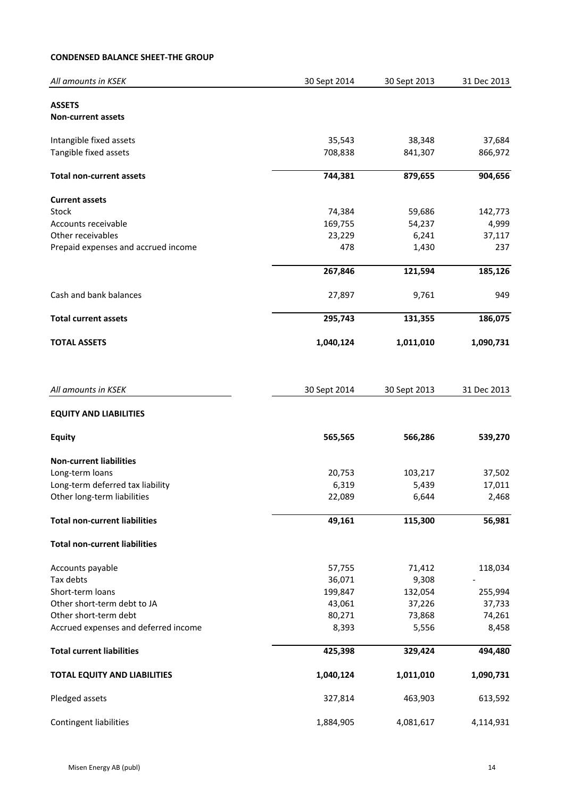# **CONDENSED BALANCE SHEET-THE GROUP**

| All amounts in KSEK                                             | 30 Sept 2014    | 30 Sept 2013   | 31 Dec 2013     |
|-----------------------------------------------------------------|-----------------|----------------|-----------------|
| <b>ASSETS</b>                                                   |                 |                |                 |
| <b>Non-current assets</b>                                       |                 |                |                 |
| Intangible fixed assets                                         | 35,543          | 38,348         | 37,684          |
| Tangible fixed assets                                           | 708,838         | 841,307        | 866,972         |
| <b>Total non-current assets</b>                                 | 744,381         | 879,655        | 904,656         |
| <b>Current assets</b>                                           |                 |                |                 |
| Stock                                                           | 74,384          | 59,686         | 142,773         |
| Accounts receivable                                             | 169,755         | 54,237         | 4,999           |
| Other receivables                                               | 23,229          | 6,241          | 37,117          |
| Prepaid expenses and accrued income                             | 478             | 1,430          | 237             |
|                                                                 | 267,846         | 121,594        | 185,126         |
| Cash and bank balances                                          | 27,897          | 9,761          | 949             |
| <b>Total current assets</b>                                     | 295,743         | 131,355        | 186,075         |
| <b>TOTAL ASSETS</b>                                             | 1,040,124       | 1,011,010      | 1,090,731       |
| All amounts in KSEK                                             | 30 Sept 2014    | 30 Sept 2013   | 31 Dec 2013     |
| <b>EQUITY AND LIABILITIES</b>                                   |                 |                |                 |
|                                                                 |                 |                |                 |
| <b>Equity</b>                                                   | 565,565         | 566,286        | 539,270         |
| <b>Non-current liabilities</b>                                  |                 |                |                 |
| Long-term loans                                                 | 20,753          | 103,217        | 37,502          |
| Long-term deferred tax liability<br>Other long-term liabilities | 6,319<br>22,089 | 5,439<br>6,644 | 17,011<br>2,468 |
|                                                                 |                 |                |                 |
| <b>Total non-current liabilities</b>                            | 49,161          | 115,300        | 56,981          |
| <b>Total non-current liabilities</b>                            |                 |                |                 |
| Accounts payable                                                | 57,755          | 71,412         | 118,034         |
| Tax debts                                                       | 36,071          | 9,308          |                 |
| Short-term loans                                                | 199,847         | 132,054        | 255,994         |
| Other short-term debt to JA                                     | 43,061          | 37,226         | 37,733          |
| Other short-term debt                                           | 80,271          | 73,868         | 74,261          |
| Accrued expenses and deferred income                            | 8,393           | 5,556          | 8,458           |
| <b>Total current liabilities</b>                                | 425,398         | 329,424        | 494,480         |
| <b>TOTAL EQUITY AND LIABILITIES</b>                             | 1,040,124       | 1,011,010      | 1,090,731       |
| Pledged assets                                                  | 327,814         | 463,903        | 613,592         |
| Contingent liabilities                                          | 1,884,905       | 4,081,617      | 4,114,931       |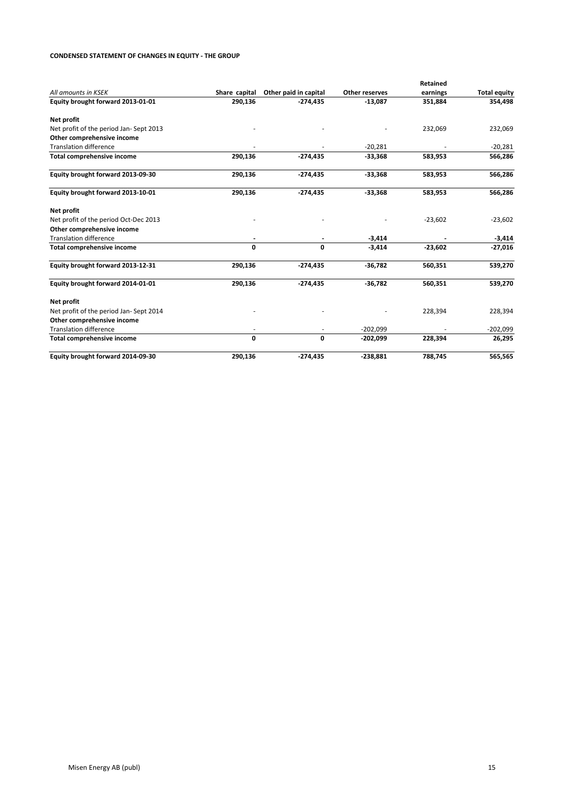### **CONDENSED STATEMENT OF CHANGES IN EQUITY - THE GROUP**

|                                        |               |                       |                | Retained  |                     |
|----------------------------------------|---------------|-----------------------|----------------|-----------|---------------------|
| All amounts in KSEK                    | Share capital | Other paid in capital | Other reserves | earnings  | <b>Total equity</b> |
| Equity brought forward 2013-01-01      | 290,136       | $-274,435$            | $-13,087$      | 351,884   | 354,498             |
| Net profit                             |               |                       |                |           |                     |
| Net profit of the period Jan-Sept 2013 |               |                       |                | 232,069   | 232,069             |
| Other comprehensive income             |               |                       |                |           |                     |
| <b>Translation difference</b>          |               |                       | $-20,281$      |           | $-20,281$           |
| <b>Total comprehensive income</b>      | 290,136       | $-274,435$            | $-33,368$      | 583,953   | 566,286             |
| Equity brought forward 2013-09-30      | 290,136       | $-274,435$            | $-33,368$      | 583,953   | 566,286             |
| Equity brought forward 2013-10-01      | 290,136       | $-274,435$            | $-33,368$      | 583,953   | 566,286             |
| Net profit                             |               |                       |                |           |                     |
| Net profit of the period Oct-Dec 2013  |               |                       |                | $-23,602$ | $-23,602$           |
| Other comprehensive income             |               |                       |                |           |                     |
| <b>Translation difference</b>          |               |                       | $-3,414$       |           | $-3,414$            |
| <b>Total comprehensive income</b>      | 0             | 0                     | $-3,414$       | $-23,602$ | $-27,016$           |
| Equity brought forward 2013-12-31      | 290,136       | $-274,435$            | $-36,782$      | 560,351   | 539,270             |
| Equity brought forward 2014-01-01      | 290,136       | $-274,435$            | $-36,782$      | 560,351   | 539,270             |
| Net profit                             |               |                       |                |           |                     |
| Net profit of the period Jan-Sept 2014 |               |                       |                | 228,394   | 228,394             |
| Other comprehensive income             |               |                       |                |           |                     |
| <b>Translation difference</b>          |               |                       | $-202,099$     |           | $-202,099$          |
| Total comprehensive income             | 0             | 0                     | $-202,099$     | 228,394   | 26,295              |
| Equity brought forward 2014-09-30      | 290,136       | $-274,435$            | $-238,881$     | 788,745   | 565,565             |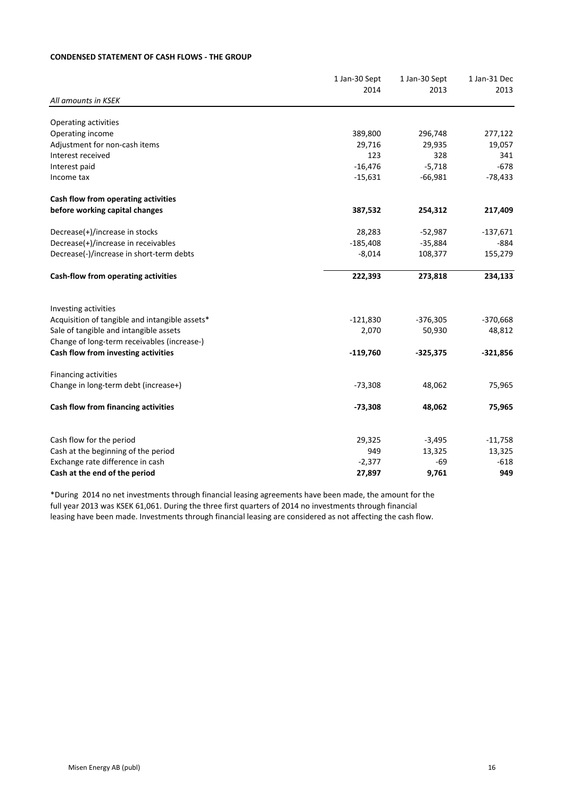## **CONDENSED STATEMENT OF CASH FLOWS - THE GROUP**

|                                                | 1 Jan-30 Sept | 1 Jan-30 Sept | 1 Jan-31 Dec |
|------------------------------------------------|---------------|---------------|--------------|
|                                                | 2014          | 2013          | 2013         |
| All amounts in KSEK                            |               |               |              |
| Operating activities                           |               |               |              |
| Operating income                               | 389,800       | 296,748       | 277,122      |
| Adjustment for non-cash items                  | 29,716        | 29,935        | 19,057       |
| Interest received                              | 123           | 328           | 341          |
| Interest paid                                  | $-16,476$     | $-5,718$      | $-678$       |
| Income tax                                     | $-15,631$     | $-66,981$     | $-78,433$    |
| Cash flow from operating activities            |               |               |              |
| before working capital changes                 | 387,532       | 254,312       | 217,409      |
| Decrease(+)/increase in stocks                 | 28,283        | $-52,987$     | $-137,671$   |
| Decrease(+)/increase in receivables            | $-185,408$    | $-35,884$     | $-884$       |
| Decrease(-)/increase in short-term debts       | $-8,014$      | 108,377       | 155,279      |
| Cash-flow from operating activities            | 222,393       | 273,818       | 234,133      |
| Investing activities                           |               |               |              |
| Acquisition of tangible and intangible assets* | $-121,830$    | $-376,305$    | $-370,668$   |
| Sale of tangible and intangible assets         | 2,070         | 50,930        | 48,812       |
| Change of long-term receivables (increase-)    |               |               |              |
| Cash flow from investing activities            | $-119,760$    | $-325,375$    | $-321,856$   |
| <b>Financing activities</b>                    |               |               |              |
| Change in long-term debt (increase+)           | $-73,308$     | 48,062        | 75,965       |
| Cash flow from financing activities            | $-73,308$     | 48,062        | 75,965       |
| Cash flow for the period                       | 29,325        | $-3,495$      | $-11,758$    |
| Cash at the beginning of the period            | 949           | 13,325        | 13,325       |
| Exchange rate difference in cash               | $-2,377$      | $-69$         | $-618$       |
| Cash at the end of the period                  | 27,897        | 9,761         | 949          |

\*During 2014 no net investments through financial leasing agreements have been made, the amount for the full year 2013 was KSEK 61,061. During the three first quarters of 2014 no investments through financial leasing have been made. Investments through financial leasing are considered as not affecting the cash flow.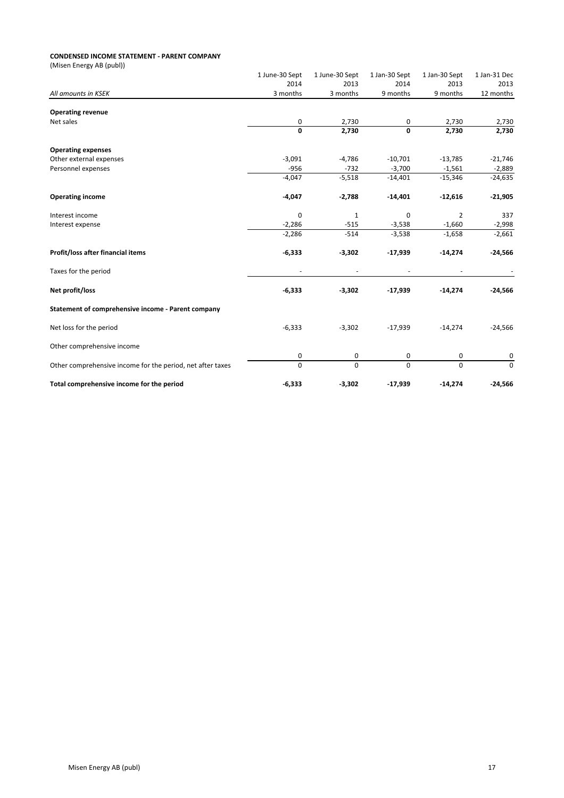#### **CONDENSED INCOME STATEMENT - PARENT COMPANY**

| (Misen Energy AB (publ))                                   |                |                |               |               |              |
|------------------------------------------------------------|----------------|----------------|---------------|---------------|--------------|
|                                                            | 1 June-30 Sept | 1 June-30 Sept | 1 Jan-30 Sept | 1 Jan-30 Sept | 1 Jan-31 Dec |
|                                                            | 2014           | 2013           | 2014          | 2013          | 2013         |
| All amounts in KSEK                                        | 3 months       | 3 months       | 9 months      | 9 months      | 12 months    |
| <b>Operating revenue</b>                                   |                |                |               |               |              |
| Net sales                                                  | 0              | 2,730          | 0             | 2,730         | 2,730        |
|                                                            | $\mathbf 0$    | 2,730          | $\mathbf 0$   | 2,730         | 2,730        |
| <b>Operating expenses</b>                                  |                |                |               |               |              |
| Other external expenses                                    | $-3,091$       | $-4,786$       | $-10,701$     | $-13,785$     | $-21,746$    |
| Personnel expenses                                         | $-956$         | $-732$         | $-3,700$      | $-1,561$      | $-2,889$     |
|                                                            | $-4,047$       | $-5,518$       | $-14,401$     | $-15,346$     | $-24,635$    |
| <b>Operating income</b>                                    | $-4,047$       | $-2,788$       | $-14,401$     | $-12,616$     | $-21,905$    |
| Interest income                                            | $\mathbf 0$    | $\mathbf{1}$   | $\mathbf 0$   | 2             | 337          |
| Interest expense                                           | $-2,286$       | $-515$         | $-3,538$      | $-1,660$      | $-2,998$     |
|                                                            | $-2,286$       | $-514$         | $-3,538$      | $-1,658$      | $-2,661$     |
| Profit/loss after financial items                          | $-6,333$       | $-3,302$       | $-17,939$     | $-14,274$     | $-24,566$    |
| Taxes for the period                                       |                |                |               |               |              |
| Net profit/loss                                            | $-6,333$       | $-3,302$       | $-17,939$     | $-14,274$     | $-24,566$    |
| Statement of comprehensive income - Parent company         |                |                |               |               |              |
| Net loss for the period                                    | $-6,333$       | $-3,302$       | $-17,939$     | $-14,274$     | $-24,566$    |
| Other comprehensive income                                 |                |                |               |               |              |
|                                                            | $\mathbf 0$    | 0              | 0             | 0             | 0            |
| Other comprehensive income for the period, net after taxes | $\pmb{0}$      | 0              | 0             | $\mathbf 0$   | 0            |
| Total comprehensive income for the period                  | $-6,333$       | $-3,302$       | $-17,939$     | $-14,274$     | $-24,566$    |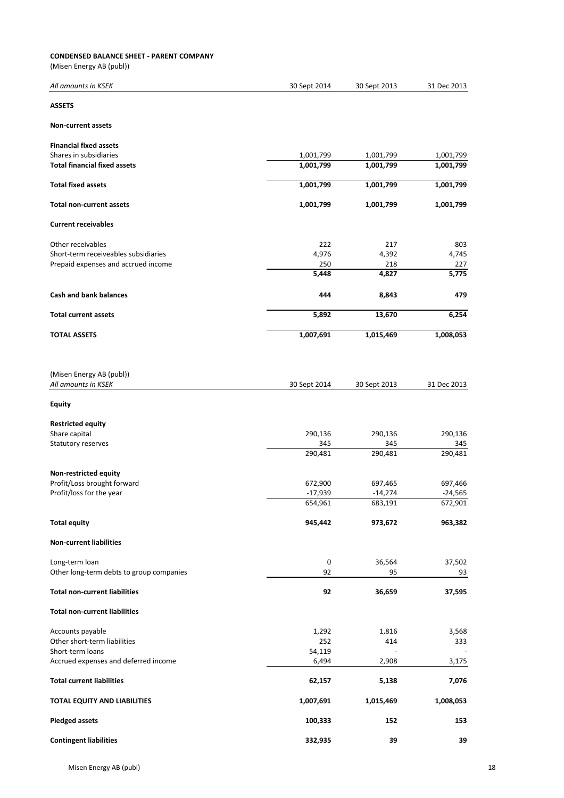#### **CONDENSED BALANCE SHEET - PARENT COMPANY**

(Misen Energy AB (publ))

| All amounts in KSEK                             | 30 Sept 2014 | 30 Sept 2013             | 31 Dec 2013 |
|-------------------------------------------------|--------------|--------------------------|-------------|
| <b>ASSETS</b>                                   |              |                          |             |
| <b>Non-current assets</b>                       |              |                          |             |
| <b>Financial fixed assets</b>                   |              |                          |             |
| Shares in subsidiaries                          | 1,001,799    | 1,001,799                | 1,001,799   |
| <b>Total financial fixed assets</b>             | 1,001,799    | 1,001,799                | 1,001,799   |
| <b>Total fixed assets</b>                       | 1,001,799    | 1,001,799                | 1,001,799   |
| Total non-current assets                        | 1,001,799    | 1,001,799                | 1,001,799   |
| <b>Current receivables</b>                      |              |                          |             |
| Other receivables                               | 222          | 217                      | 803         |
| Short-term receiveables subsidiaries            | 4,976        | 4,392                    | 4,745       |
| Prepaid expenses and accrued income             | 250          | 218                      | 227         |
|                                                 | 5,448        | 4,827                    | 5,775       |
|                                                 |              |                          |             |
| Cash and bank balances                          | 444          | 8,843                    | 479         |
| <b>Total current assets</b>                     | 5,892        | 13,670                   | 6,254       |
| <b>TOTAL ASSETS</b>                             | 1,007,691    | 1,015,469                | 1,008,053   |
| (Misen Energy AB (publ))<br>All amounts in KSEK | 30 Sept 2014 | 30 Sept 2013             | 31 Dec 2013 |
| Equity                                          |              |                          |             |
| <b>Restricted equity</b>                        |              |                          |             |
| Share capital                                   | 290,136      | 290,136                  | 290,136     |
| Statutory reserves                              | 345          | 345                      | 345         |
|                                                 | 290,481      | 290,481                  | 290,481     |
|                                                 |              |                          |             |
| Non-restricted equity                           |              |                          |             |
| Profit/Loss brought forward                     | 672,900      | 697,465                  | 697,466     |
| Profit/loss for the year                        | $-17,939$    | $-14,274$                | $-24,565$   |
|                                                 | 654,961      | 683,191                  | 672,901     |
| <b>Total equity</b>                             | 945,442      | 973,672                  | 963,382     |
| <b>Non-current liabilities</b>                  |              |                          |             |
| Long-term loan                                  | 0            | 36,564                   | 37,502      |
| Other long-term debts to group companies        | 92           | 95                       | 93          |
| <b>Total non-current liabilities</b>            | 92           | 36,659                   | 37,595      |
| <b>Total non-current liabilities</b>            |              |                          |             |
| Accounts payable                                | 1,292        | 1,816                    | 3,568       |
| Other short-term liabilities                    | 252          | 414                      | 333         |
| Short-term loans                                | 54,119       | $\overline{\phantom{a}}$ |             |
| Accrued expenses and deferred income            | 6,494        | 2,908                    | 3,175       |
| <b>Total current liabilities</b>                | 62,157       | 5,138                    | 7,076       |
| TOTAL EQUITY AND LIABILITIES                    | 1,007,691    | 1,015,469                | 1,008,053   |
| <b>Pledged assets</b>                           | 100,333      | 152                      | 153         |
| <b>Contingent liabilities</b>                   | 332,935      | 39                       | 39          |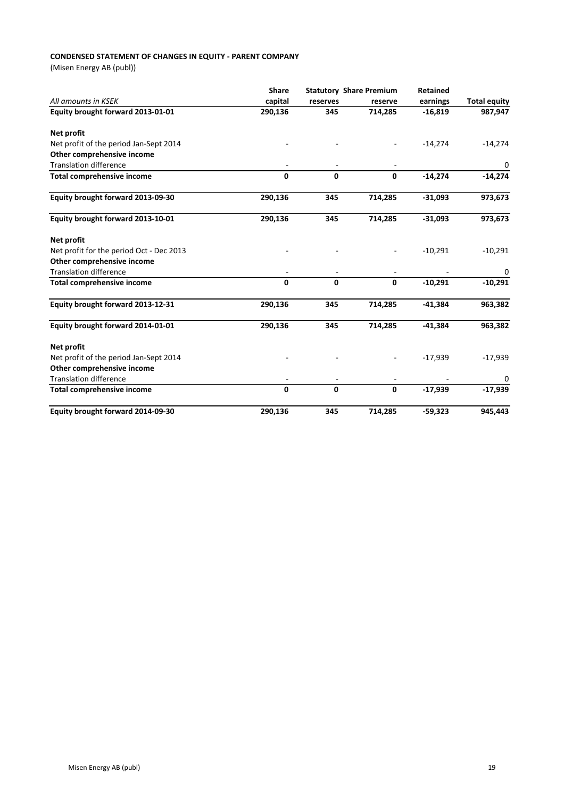### **CONDENSED STATEMENT OF CHANGES IN EQUITY - PARENT COMPANY**

(Misen Energy AB (publ))

|                                          | <b>Share</b> |          | <b>Statutory Share Premium</b> | <b>Retained</b> |                     |
|------------------------------------------|--------------|----------|--------------------------------|-----------------|---------------------|
| All amounts in KSEK                      | capital      | reserves | reserve                        | earnings        | <b>Total equity</b> |
| Equity brought forward 2013-01-01        | 290,136      | 345      | 714,285                        | $-16,819$       | 987,947             |
| Net profit                               |              |          |                                |                 |                     |
| Net profit of the period Jan-Sept 2014   |              |          |                                | $-14,274$       | $-14,274$           |
| Other comprehensive income               |              |          |                                |                 |                     |
| <b>Translation difference</b>            |              |          |                                |                 | 0                   |
| <b>Total comprehensive income</b>        | 0            | 0        | $\mathbf{0}$                   | $-14,274$       | $-14,274$           |
| Equity brought forward 2013-09-30        | 290,136      | 345      | 714,285                        | $-31,093$       | 973,673             |
| Equity brought forward 2013-10-01        | 290,136      | 345      | 714,285                        | $-31,093$       | 973,673             |
| Net profit                               |              |          |                                |                 |                     |
| Net profit for the period Oct - Dec 2013 |              |          |                                | $-10,291$       | $-10,291$           |
| Other comprehensive income               |              |          |                                |                 |                     |
| <b>Translation difference</b>            | ٠            |          |                                |                 | 0                   |
| <b>Total comprehensive income</b>        | 0            | 0        | $\mathbf{0}$                   | $-10,291$       | $-10,291$           |
| Equity brought forward 2013-12-31        | 290,136      | 345      | 714,285                        | $-41,384$       | 963,382             |
| Equity brought forward 2014-01-01        | 290,136      | 345      | 714,285                        | $-41,384$       | 963,382             |
| Net profit                               |              |          |                                |                 |                     |
| Net profit of the period Jan-Sept 2014   |              |          |                                | $-17,939$       | $-17,939$           |
| Other comprehensive income               |              |          |                                |                 |                     |
| <b>Translation difference</b>            |              |          |                                |                 | 0                   |
| <b>Total comprehensive income</b>        | 0            | 0        | $\mathbf 0$                    | $-17,939$       | $-17,939$           |
| Equity brought forward 2014-09-30        | 290,136      | 345      | 714,285                        | $-59,323$       | 945,443             |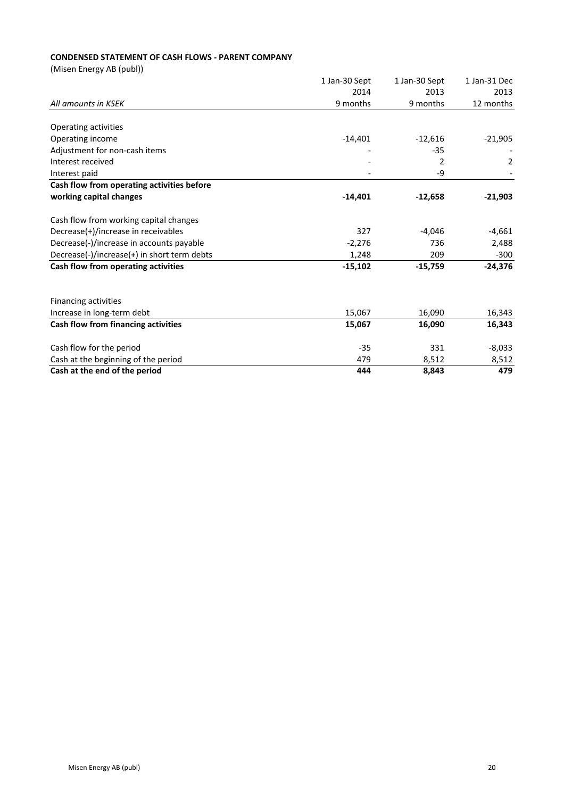# **CONDENSED STATEMENT OF CASH FLOWS - PARENT COMPANY**

(Misen Energy AB (publ))

|                                             | 1 Jan-30 Sept | 1 Jan-30 Sept | 1 Jan-31 Dec |
|---------------------------------------------|---------------|---------------|--------------|
|                                             | 2014          | 2013          | 2013         |
| All amounts in KSEK                         | 9 months      | 9 months      | 12 months    |
| Operating activities                        |               |               |              |
| Operating income                            | $-14,401$     | $-12,616$     | $-21,905$    |
| Adjustment for non-cash items               |               | $-35$         |              |
| Interest received                           |               | 2             |              |
|                                             |               |               | 2            |
| Interest paid                               |               | -9            |              |
| Cash flow from operating activities before  |               |               |              |
| working capital changes                     | $-14,401$     | $-12,658$     | $-21,903$    |
| Cash flow from working capital changes      |               |               |              |
| Decrease(+)/increase in receivables         | 327           | $-4,046$      | $-4,661$     |
| Decrease(-)/increase in accounts payable    | $-2,276$      | 736           | 2,488        |
| Decrease(-)/increase(+) in short term debts | 1,248         | 209           | $-300$       |
| Cash flow from operating activities         | $-15,102$     | $-15,759$     | $-24,376$    |
| <b>Financing activities</b>                 |               |               |              |
| Increase in long-term debt                  | 15,067        | 16,090        | 16,343       |
| Cash flow from financing activities         | 15,067        | 16,090        | 16,343       |
|                                             |               |               |              |
| Cash flow for the period                    | $-35$         | 331           | $-8,033$     |
| Cash at the beginning of the period         | 479           | 8,512         | 8,512        |
| Cash at the end of the period               | 444           | 8,843         | 479          |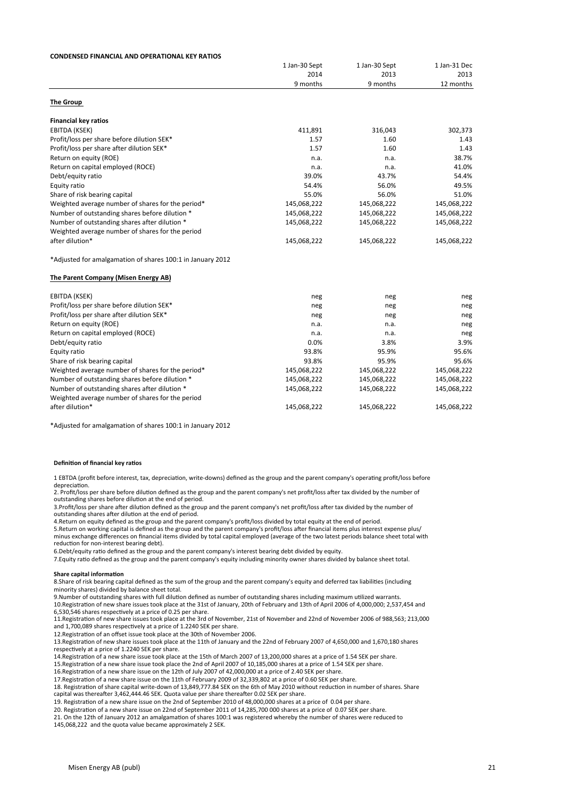#### **CONDENSED FINANCIAL AND OPERATIONAL KEY RATIOS**

|                                                            | 1 Jan-30 Sept | 1 Jan-30 Sept<br>2013<br>9 months | 1 Jan-31 Dec<br>2013<br>12 months |
|------------------------------------------------------------|---------------|-----------------------------------|-----------------------------------|
|                                                            | 2014          |                                   |                                   |
|                                                            | 9 months      |                                   |                                   |
|                                                            |               |                                   |                                   |
| <b>The Group</b>                                           |               |                                   |                                   |
| <b>Financial key ratios</b>                                |               |                                   |                                   |
| EBITDA (KSEK)                                              | 411,891       | 316,043                           | 302,373                           |
| Profit/loss per share before dilution SEK*                 | 1.57          | 1.60                              | 1.43                              |
| Profit/loss per share after dilution SEK*                  | 1.57          | 1.60                              | 1.43                              |
| Return on equity (ROE)                                     | n.a.          | n.a.                              | 38.7%                             |
| Return on capital employed (ROCE)                          | n.a.          | n.a.                              | 41.0%                             |
| Debt/equity ratio                                          | 39.0%         | 43.7%                             | 54.4%                             |
| Equity ratio                                               | 54.4%         | 56.0%                             | 49.5%                             |
| Share of risk bearing capital                              | 55.0%         | 56.0%                             | 51.0%                             |
| Weighted average number of shares for the period*          | 145,068,222   | 145,068,222                       | 145,068,222                       |
| Number of outstanding shares before dilution *             | 145,068,222   | 145,068,222                       | 145,068,222                       |
| Number of outstanding shares after dilution *              | 145,068,222   | 145,068,222                       | 145,068,222                       |
| Weighted average number of shares for the period           |               |                                   |                                   |
| after dilution*                                            | 145,068,222   | 145,068,222                       | 145,068,222                       |
| *Adjusted for amalgamation of shares 100:1 in January 2012 |               |                                   |                                   |
| The Parent Company (Misen Energy AB)                       |               |                                   |                                   |
| EBITDA (KSEK)                                              | neg           | neg                               | neg                               |
| Profit/loss per share before dilution SEK*                 | neg           | neg                               | neg                               |
| Profit/loss per share after dilution SEK*                  | neg           | neg                               | neg                               |
| Return on equity (ROE)                                     | n.a.          | n.a.                              | neg                               |
| Return on capital employed (ROCE)                          | n.a.          | n.a.                              | neg                               |
| Debt/equity ratio                                          | 0.0%          | 3.8%                              | 3.9%                              |
| Equity ratio                                               | 93.8%         | 95.9%                             | 95.6%                             |
| Share of risk bearing capital                              | 93.8%         | 95.9%                             | 95.6%                             |
| Weighted average number of shares for the period*          | 145,068,222   | 145,068,222                       | 145,068,222                       |
| Number of outstanding shares before dilution *             | 145,068,222   | 145,068,222                       | 145,068,222                       |
| Number of outstanding shares after dilution *              | 145,068,222   | 145,068,222                       | 145,068,222                       |
| Weighted average number of shares for the period           |               |                                   |                                   |
| after dilution*                                            | 145,068,222   | 145,068,222                       | 145,068,222                       |

\*Adjusted for amalgamation of shares 100:1 in January 2012

#### **Definition of financial key ratios**

1 EBTDA (profit before interest, tax, depreciation, write-downs) defined as the group and the parent company's operating profit/loss before denreciation depreciation

2. Profit/loss per share before dilution defined as the group and the parent company's net profit/loss after tax divided by the number of outstanding shares before dilution at the end of period

3.Profit/loss per share after dilution defined as the group and the parent company's net profit/loss after tax divided by the number of outstanding shares after dilution at the end of period.

4. Return on equity defined as the group and the parent company's profit/loss divided by total equity at the end of period.

5. Return on working capital is defined as the group and the parent company's profit/loss after financial items plus interest expense plus/ minus exchange differences on financial items divided by total capital employed (average of the two latest periods balance sheet total with reduction for non-interest bearing debt).

6.Debt/equity ratio defined as the group and the parent company's interest bearing debt divided by equity.

Deputy ratio definition of the group and the parent company's interest beam in the particular  $\frac{1}{2}$  and  $\frac{1}{2}$  and  $\frac{1}{2}$  and  $\frac{1}{2}$  and  $\frac{1}{2}$  and  $\frac{1}{2}$  and  $\frac{1}{2}$  and  $\frac{1}{2}$  and  $\frac{1}{2}$  and 7.Equity ratio defined as the group and the parent company's equity including minority owner shares divided by balance sheet total.<br>

#### **Share capital information**

8.Share of risk bearing capital defined as the sum of the group and the parent company's equity and deferred tax liabilities (including minority shares) divided by balance sheet total.

9.Number of outstanding shares with full dilution defined as number of outstanding shares including maximum utilized warrants.<br>10.Registration of new share issues took place at the 31st of January, 20th of February and 13t 6,530,546 shares respectively at a price of 0.25 per share.

11. Registration of new share issues took place at the 3rd of November, 21st of November and 22nd of November 2006 of 988,563; 213,000 and 1,700,089 shares respectively at a price of 1.2240 SEK per share.

12.Registration of an offset issue took place at the 30th of November 2006.<br>13.Registration of new share issues took place at the 11th of January and the 22nd of February 2007 of 4,650,000 and 1,670,180 shares respectively at a price of 1.2240 SEK per share.

14. Registration of a new share issue took place at the 15th of March 2007 of 13,200,000 shares at a price of 1.54 SEK per share.

15.Registration of a new share issue took place the 2nd of April 2007 of 10,185,000 shares at a price of 1.54 SEK per share.<br>16.Registration of a new share issue on the 12th of July 2007 of 42,000,000 at a price of 2.40 SE

17. Registration of a new share issue on the 11th of February 2009 of 32,339,802 at a price of 0.60 SEK per share.

18. Registration of share capital write-down of 13,849,777.84 SEK on the 6th of May 2010 without reduction in number of shares. Share capital was thereafter 3,462,444.46 SEK. Quota value per share thereafter 0.02 SEK per share.

19. Registration of a new share issue on the 2nd of September 2010 of 48,000,000 shares at a price of 0.04 per share.

20. Registration of a new share issue on 22nd of September 2011 of 14,285,700 000 shares at a price of 0.07 SEK per share.

21. On the 12th of January 2012 an amalgamation of shares 100:1 was registered whereby the number of shares were reduced to 145,068,222 and the quota value became approximately 2 SEK.